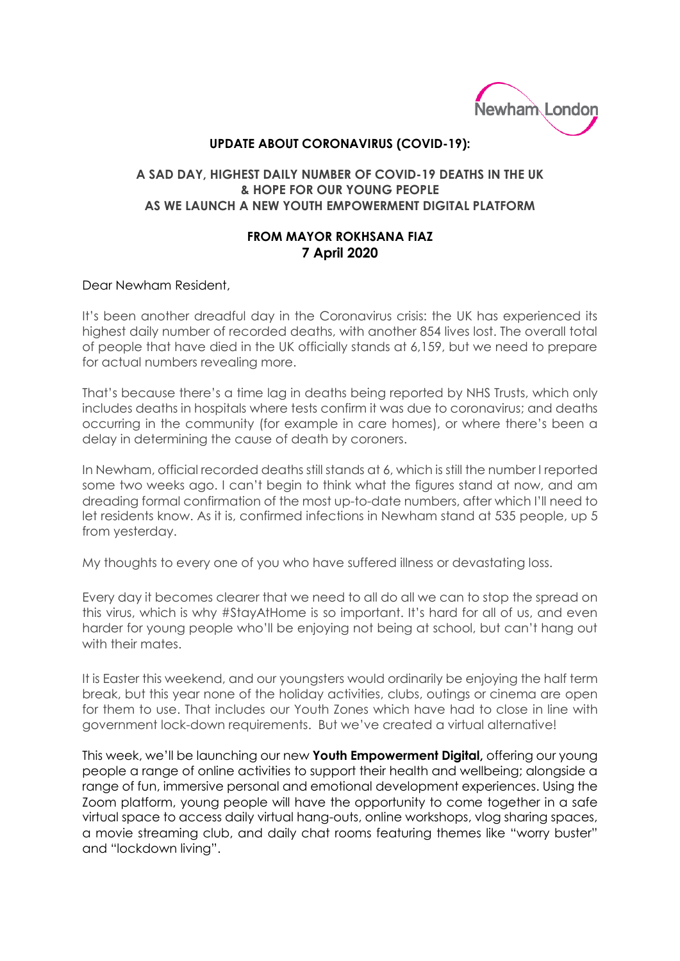

## **UPDATE ABOUT CORONAVIRUS (COVID-19):**

## **A SAD DAY, HIGHEST DAILY NUMBER OF COVID-19 DEATHS IN THE UK & HOPE FOR OUR YOUNG PEOPLE AS WE LAUNCH A NEW YOUTH EMPOWERMENT DIGITAL PLATFORM**

## **FROM MAYOR ROKHSANA FIAZ 7 April 2020**

## Dear Newham Resident,

It's been another dreadful day in the Coronavirus crisis: the UK has experienced its highest daily number of recorded deaths, with another 854 lives lost. The overall total of people that have died in the UK officially stands at 6,159, but we need to prepare for actual numbers revealing more.

That's because there's a time lag in deaths being reported by NHS Trusts, which only includes deaths in hospitals where tests confirm it was due to coronavirus; and deaths occurring in the community (for example in care homes), or where there's been a delay in determining the cause of death by coroners.

In Newham, official recorded deaths still stands at 6, which is still the number I reported some two weeks ago. I can't begin to think what the figures stand at now, and am dreading formal confirmation of the most up-to-date numbers, after which I'll need to let residents know. As it is, confirmed infections in Newham stand at 535 people, up 5 from yesterday.

My thoughts to every one of you who have suffered illness or devastating loss.

Every day it becomes clearer that we need to all do all we can to stop the spread on this virus, which is why #StayAtHome is so important. It's hard for all of us, and even harder for young people who'll be enjoying not being at school, but can't hang out with their mates.

It is Easter this weekend, and our youngsters would ordinarily be enjoying the half term break, but this year none of the holiday activities, clubs, outings or cinema are open for them to use. That includes our Youth Zones which have had to close in line with government lock-down requirements. But we've created a virtual alternative!

This week, we'll be launching our new **Youth Empowerment Digital,** offering our young people a range of online activities to support their health and wellbeing; alongside a range of fun, immersive personal and emotional development experiences. Using the Zoom platform, young people will have the opportunity to come together in a safe virtual space to access daily virtual hang-outs, online workshops, vlog sharing spaces, a movie streaming club, and daily chat rooms featuring themes like "worry buster" and "lockdown living".